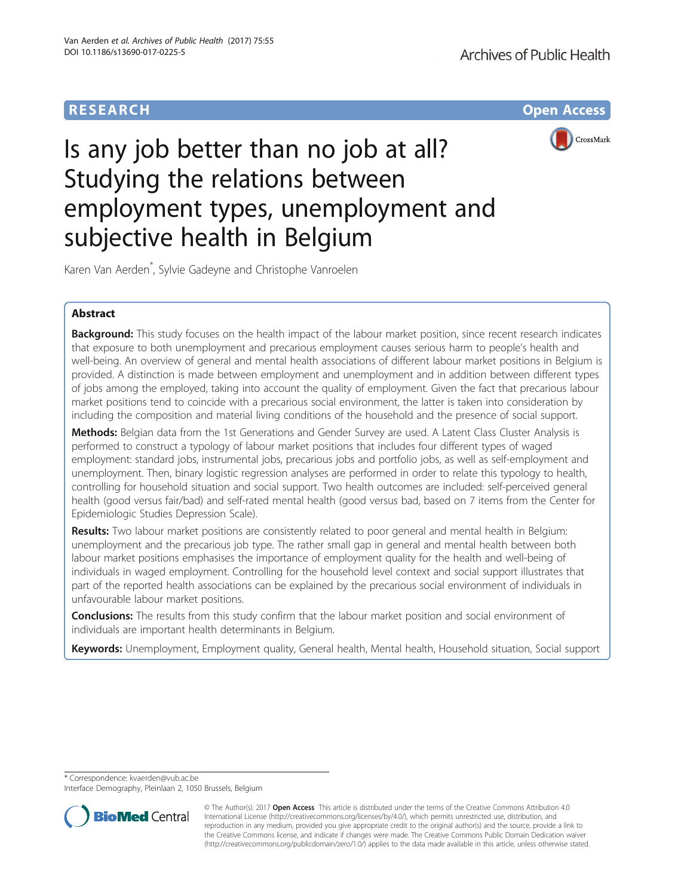# **RESEARCH CHE Open Access**



# Is any job better than no job at all? Studying the relations between employment types, unemployment and subjective health in Belgium

Karen Van Aerden\* , Sylvie Gadeyne and Christophe Vanroelen

# Abstract

**Background:** This study focuses on the health impact of the labour market position, since recent research indicates that exposure to both unemployment and precarious employment causes serious harm to people's health and well-being. An overview of general and mental health associations of different labour market positions in Belgium is provided. A distinction is made between employment and unemployment and in addition between different types of jobs among the employed, taking into account the quality of employment. Given the fact that precarious labour market positions tend to coincide with a precarious social environment, the latter is taken into consideration by including the composition and material living conditions of the household and the presence of social support.

Methods: Belgian data from the 1st Generations and Gender Survey are used. A Latent Class Cluster Analysis is performed to construct a typology of labour market positions that includes four different types of waged employment: standard jobs, instrumental jobs, precarious jobs and portfolio jobs, as well as self-employment and unemployment. Then, binary logistic regression analyses are performed in order to relate this typology to health, controlling for household situation and social support. Two health outcomes are included: self-perceived general health (good versus fair/bad) and self-rated mental health (good versus bad, based on 7 items from the Center for Epidemiologic Studies Depression Scale).

Results: Two labour market positions are consistently related to poor general and mental health in Belgium: unemployment and the precarious job type. The rather small gap in general and mental health between both labour market positions emphasises the importance of employment quality for the health and well-being of individuals in waged employment. Controlling for the household level context and social support illustrates that part of the reported health associations can be explained by the precarious social environment of individuals in unfavourable labour market positions.

**Conclusions:** The results from this study confirm that the labour market position and social environment of individuals are important health determinants in Belgium.

Keywords: Unemployment, Employment quality, General health, Mental health, Household situation, Social support

\* Correspondence: [kvaerden@vub.ac.be](mailto:kvaerden@vub.ac.be)

Interface Demography, Pleinlaan 2, 1050 Brussels, Belgium



© The Author(s). 2017 **Open Access** This article is distributed under the terms of the Creative Commons Attribution 4.0 International License [\(http://creativecommons.org/licenses/by/4.0/](http://creativecommons.org/licenses/by/4.0/)), which permits unrestricted use, distribution, and reproduction in any medium, provided you give appropriate credit to the original author(s) and the source, provide a link to the Creative Commons license, and indicate if changes were made. The Creative Commons Public Domain Dedication waiver [\(http://creativecommons.org/publicdomain/zero/1.0/](http://creativecommons.org/publicdomain/zero/1.0/)) applies to the data made available in this article, unless otherwise stated.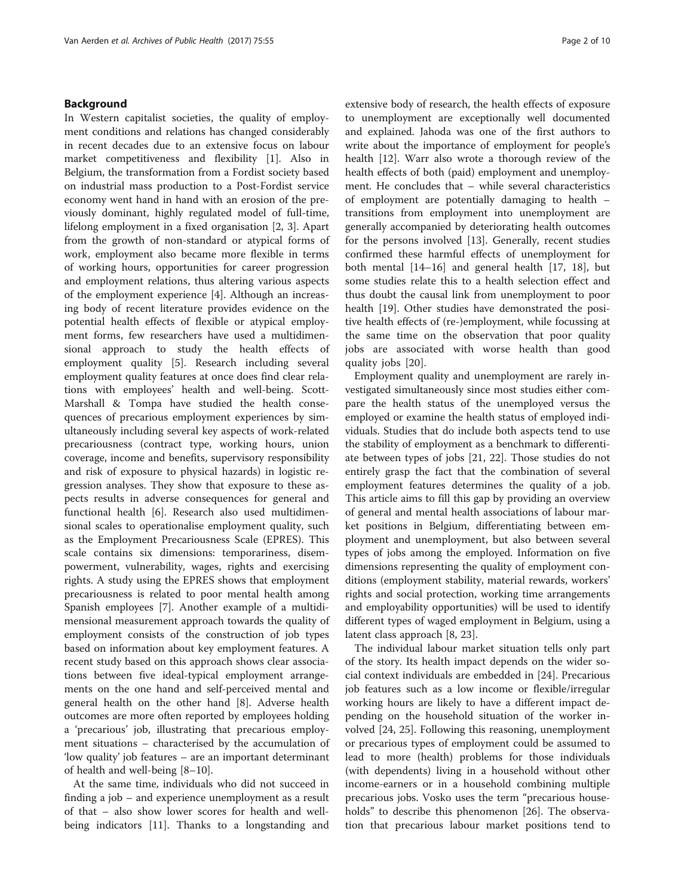# Background

In Western capitalist societies, the quality of employment conditions and relations has changed considerably in recent decades due to an extensive focus on labour market competitiveness and flexibility [\[1\]](#page-8-0). Also in Belgium, the transformation from a Fordist society based on industrial mass production to a Post-Fordist service economy went hand in hand with an erosion of the previously dominant, highly regulated model of full-time, lifelong employment in a fixed organisation [\[2](#page-8-0), [3\]](#page-8-0). Apart from the growth of non-standard or atypical forms of work, employment also became more flexible in terms of working hours, opportunities for career progression and employment relations, thus altering various aspects of the employment experience [\[4](#page-8-0)]. Although an increasing body of recent literature provides evidence on the potential health effects of flexible or atypical employment forms, few researchers have used a multidimensional approach to study the health effects of employment quality [\[5](#page-8-0)]. Research including several employment quality features at once does find clear relations with employees' health and well-being. Scott-Marshall & Tompa have studied the health consequences of precarious employment experiences by simultaneously including several key aspects of work-related precariousness (contract type, working hours, union coverage, income and benefits, supervisory responsibility and risk of exposure to physical hazards) in logistic regression analyses. They show that exposure to these aspects results in adverse consequences for general and functional health [[6\]](#page-8-0). Research also used multidimensional scales to operationalise employment quality, such as the Employment Precariousness Scale (EPRES). This scale contains six dimensions: temporariness, disempowerment, vulnerability, wages, rights and exercising rights. A study using the EPRES shows that employment precariousness is related to poor mental health among Spanish employees [\[7](#page-8-0)]. Another example of a multidimensional measurement approach towards the quality of employment consists of the construction of job types based on information about key employment features. A recent study based on this approach shows clear associations between five ideal-typical employment arrangements on the one hand and self-perceived mental and general health on the other hand [[8\]](#page-8-0). Adverse health outcomes are more often reported by employees holding a 'precarious' job, illustrating that precarious employment situations – characterised by the accumulation of 'low quality' job features – are an important determinant of health and well-being [\[8](#page-8-0)–[10\]](#page-8-0).

At the same time, individuals who did not succeed in finding a job – and experience unemployment as a result of that – also show lower scores for health and wellbeing indicators [\[11](#page-8-0)]. Thanks to a longstanding and extensive body of research, the health effects of exposure to unemployment are exceptionally well documented and explained. Jahoda was one of the first authors to write about the importance of employment for people's health [\[12](#page-8-0)]. Warr also wrote a thorough review of the health effects of both (paid) employment and unemployment. He concludes that – while several characteristics of employment are potentially damaging to health – transitions from employment into unemployment are generally accompanied by deteriorating health outcomes for the persons involved [\[13](#page-8-0)]. Generally, recent studies confirmed these harmful effects of unemployment for both mental [\[14](#page-8-0)–[16\]](#page-8-0) and general health [[17](#page-8-0), [18](#page-8-0)], but some studies relate this to a health selection effect and thus doubt the causal link from unemployment to poor health [\[19](#page-8-0)]. Other studies have demonstrated the positive health effects of (re-)employment, while focussing at the same time on the observation that poor quality jobs are associated with worse health than good quality jobs [[20\]](#page-8-0).

Employment quality and unemployment are rarely investigated simultaneously since most studies either compare the health status of the unemployed versus the employed or examine the health status of employed individuals. Studies that do include both aspects tend to use the stability of employment as a benchmark to differentiate between types of jobs [[21](#page-8-0), [22\]](#page-8-0). Those studies do not entirely grasp the fact that the combination of several employment features determines the quality of a job. This article aims to fill this gap by providing an overview of general and mental health associations of labour market positions in Belgium, differentiating between employment and unemployment, but also between several types of jobs among the employed. Information on five dimensions representing the quality of employment conditions (employment stability, material rewards, workers' rights and social protection, working time arrangements and employability opportunities) will be used to identify different types of waged employment in Belgium, using a latent class approach [[8](#page-8-0), [23](#page-8-0)].

The individual labour market situation tells only part of the story. Its health impact depends on the wider social context individuals are embedded in [\[24](#page-9-0)]. Precarious job features such as a low income or flexible/irregular working hours are likely to have a different impact depending on the household situation of the worker involved [\[24](#page-9-0), [25](#page-9-0)]. Following this reasoning, unemployment or precarious types of employment could be assumed to lead to more (health) problems for those individuals (with dependents) living in a household without other income-earners or in a household combining multiple precarious jobs. Vosko uses the term "precarious households" to describe this phenomenon [\[26](#page-9-0)]. The observation that precarious labour market positions tend to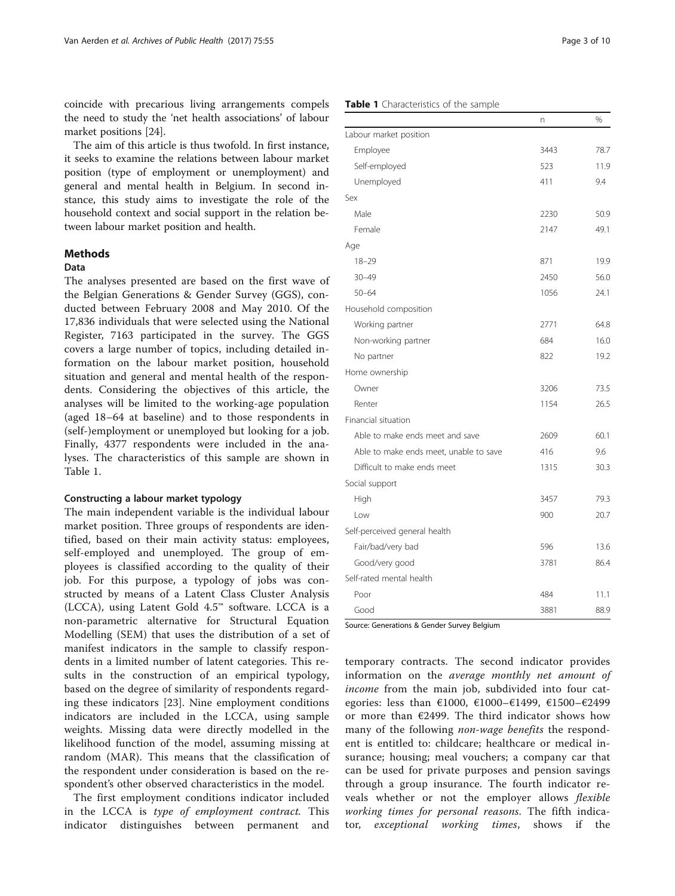coincide with precarious living arrangements compels the need to study the 'net health associations' of labour market positions [\[24\]](#page-9-0).

The aim of this article is thus twofold. In first instance, it seeks to examine the relations between labour market position (type of employment or unemployment) and general and mental health in Belgium. In second instance, this study aims to investigate the role of the household context and social support in the relation between labour market position and health.

# Methods

#### Data

The analyses presented are based on the first wave of the Belgian Generations & Gender Survey (GGS), conducted between February 2008 and May 2010. Of the 17,836 individuals that were selected using the National Register, 7163 participated in the survey. The GGS covers a large number of topics, including detailed information on the labour market position, household situation and general and mental health of the respondents. Considering the objectives of this article, the analyses will be limited to the working-age population (aged 18–64 at baseline) and to those respondents in (self-)employment or unemployed but looking for a job. Finally, 4377 respondents were included in the analyses. The characteristics of this sample are shown in Table 1.

#### Constructing a labour market typology

The main independent variable is the individual labour market position. Three groups of respondents are identified, based on their main activity status: employees, self-employed and unemployed. The group of employees is classified according to the quality of their job. For this purpose, a typology of jobs was constructed by means of a Latent Class Cluster Analysis (LCCA), using Latent Gold 4.5™ software. LCCA is a non-parametric alternative for Structural Equation Modelling (SEM) that uses the distribution of a set of manifest indicators in the sample to classify respondents in a limited number of latent categories. This results in the construction of an empirical typology, based on the degree of similarity of respondents regarding these indicators [[23](#page-8-0)]. Nine employment conditions indicators are included in the LCCA, using sample weights. Missing data were directly modelled in the likelihood function of the model, assuming missing at random (MAR). This means that the classification of the respondent under consideration is based on the respondent's other observed characteristics in the model.

The first employment conditions indicator included in the LCCA is type of employment contract. This indicator distinguishes between permanent and

# Table 1 Characteristics of the sample

|                                        | n    | $\%$ |
|----------------------------------------|------|------|
| Labour market position                 |      |      |
| Employee                               | 3443 | 78.7 |
| Self-employed                          | 523  | 11.9 |
| Unemployed                             | 411  | 9.4  |
| Sex                                    |      |      |
| Male                                   | 2230 | 50.9 |
| Female                                 | 2147 | 49.1 |
| Age                                    |      |      |
| $18 - 29$                              | 871  | 19.9 |
| $30 - 49$                              | 2450 | 56.0 |
| $50 - 64$                              | 1056 | 24.1 |
| Household composition                  |      |      |
| Working partner                        | 2771 | 64.8 |
| Non-working partner                    | 684  | 16.0 |
| No partner                             | 822  | 19.2 |
| Home ownership                         |      |      |
| Owner                                  | 3206 | 73.5 |
| Renter                                 | 1154 | 26.5 |
| Financial situation                    |      |      |
| Able to make ends meet and save        | 2609 | 60.1 |
| Able to make ends meet, unable to save | 416  | 9.6  |
| Difficult to make ends meet            | 1315 | 30.3 |
| Social support                         |      |      |
| High                                   | 3457 | 79.3 |
| l ow                                   | 900  | 20.7 |
| Self-perceived general health          |      |      |
| Fair/bad/very bad                      | 596  | 13.6 |
| Good/very good                         | 3781 | 86.4 |
| Self-rated mental health               |      |      |
| Poor                                   | 484  | 11.1 |
| Good                                   | 3881 | 88.9 |

Source: Generations & Gender Survey Belgium

temporary contracts. The second indicator provides information on the average monthly net amount of income from the main job, subdivided into four categories: less than €1000, €1000–€1499, €1500–€2499 or more than €2499. The third indicator shows how many of the following non-wage benefits the respondent is entitled to: childcare; healthcare or medical insurance; housing; meal vouchers; a company car that can be used for private purposes and pension savings through a group insurance. The fourth indicator reveals whether or not the employer allows flexible working times for personal reasons. The fifth indicator, exceptional working times, shows if the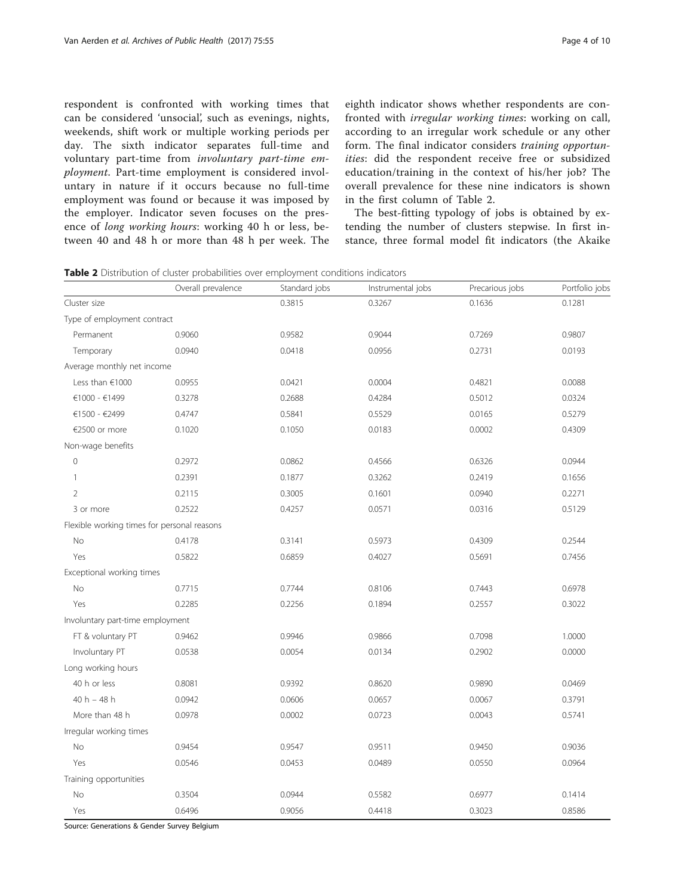<span id="page-3-0"></span>respondent is confronted with working times that can be considered 'unsocial', such as evenings, nights, weekends, shift work or multiple working periods per day. The sixth indicator separates full-time and voluntary part-time from involuntary part-time employment. Part-time employment is considered involuntary in nature if it occurs because no full-time employment was found or because it was imposed by the employer. Indicator seven focuses on the presence of long working hours: working 40 h or less, between 40 and 48 h or more than 48 h per week. The

eighth indicator shows whether respondents are confronted with irregular working times: working on call, according to an irregular work schedule or any other form. The final indicator considers training opportunities: did the respondent receive free or subsidized education/training in the context of his/her job? The overall prevalence for these nine indicators is shown in the first column of Table 2.

The best-fitting typology of jobs is obtained by extending the number of clusters stepwise. In first instance, three formal model fit indicators (the Akaike

Table 2 Distribution of cluster probabilities over employment conditions indicators

|                                             | Overall prevalence | Standard jobs | Instrumental jobs | Precarious jobs | Portfolio jobs |
|---------------------------------------------|--------------------|---------------|-------------------|-----------------|----------------|
| Cluster size                                |                    | 0.3815        | 0.3267            | 0.1636          | 0.1281         |
| Type of employment contract                 |                    |               |                   |                 |                |
| Permanent                                   | 0.9060             | 0.9582        | 0.9044            | 0.7269          | 0.9807         |
| Temporary                                   | 0.0940             | 0.0418        | 0.0956            | 0.2731          | 0.0193         |
| Average monthly net income                  |                    |               |                   |                 |                |
| Less than €1000                             | 0.0955             | 0.0421        | 0.0004            | 0.4821          | 0.0088         |
| €1000 - €1499                               | 0.3278             | 0.2688        | 0.4284            | 0.5012          | 0.0324         |
| €1500 - €2499                               | 0.4747             | 0.5841        | 0.5529            | 0.0165          | 0.5279         |
| €2500 or more                               | 0.1020             | 0.1050        | 0.0183            | 0.0002          | 0.4309         |
| Non-wage benefits                           |                    |               |                   |                 |                |
| $\mathbf 0$                                 | 0.2972             | 0.0862        | 0.4566            | 0.6326          | 0.0944         |
| $\mathbf{1}$                                | 0.2391             | 0.1877        | 0.3262            | 0.2419          | 0.1656         |
| $\overline{2}$                              | 0.2115             | 0.3005        | 0.1601            | 0.0940          | 0.2271         |
| 3 or more                                   | 0.2522             | 0.4257        | 0.0571            | 0.0316          | 0.5129         |
| Flexible working times for personal reasons |                    |               |                   |                 |                |
| No                                          | 0.4178             | 0.3141        | 0.5973            | 0.4309          | 0.2544         |
| Yes                                         | 0.5822             | 0.6859        | 0.4027            | 0.5691          | 0.7456         |
| Exceptional working times                   |                    |               |                   |                 |                |
| No                                          | 0.7715             | 0.7744        | 0.8106            | 0.7443          | 0.6978         |
| Yes                                         | 0.2285             | 0.2256        | 0.1894            | 0.2557          | 0.3022         |
| Involuntary part-time employment            |                    |               |                   |                 |                |
| FT & voluntary PT                           | 0.9462             | 0.9946        | 0.9866            | 0.7098          | 1.0000         |
| Involuntary PT                              | 0.0538             | 0.0054        | 0.0134            | 0.2902          | 0.0000         |
| Long working hours                          |                    |               |                   |                 |                |
| 40 h or less                                | 0.8081             | 0.9392        | 0.8620            | 0.9890          | 0.0469         |
| $40 h - 48 h$                               | 0.0942             | 0.0606        | 0.0657            | 0.0067          | 0.3791         |
| More than 48 h                              | 0.0978             | 0.0002        | 0.0723            | 0.0043          | 0.5741         |
| Irregular working times                     |                    |               |                   |                 |                |
| No                                          | 0.9454             | 0.9547        | 0.9511            | 0.9450          | 0.9036         |
| Yes                                         | 0.0546             | 0.0453        | 0.0489            | 0.0550          | 0.0964         |
| Training opportunities                      |                    |               |                   |                 |                |
| No                                          | 0.3504             | 0.0944        | 0.5582            | 0.6977          | 0.1414         |
| Yes                                         | 0.6496             | 0.9056        | 0.4418            | 0.3023          | 0.8586         |

Source: Generations & Gender Survey Belgium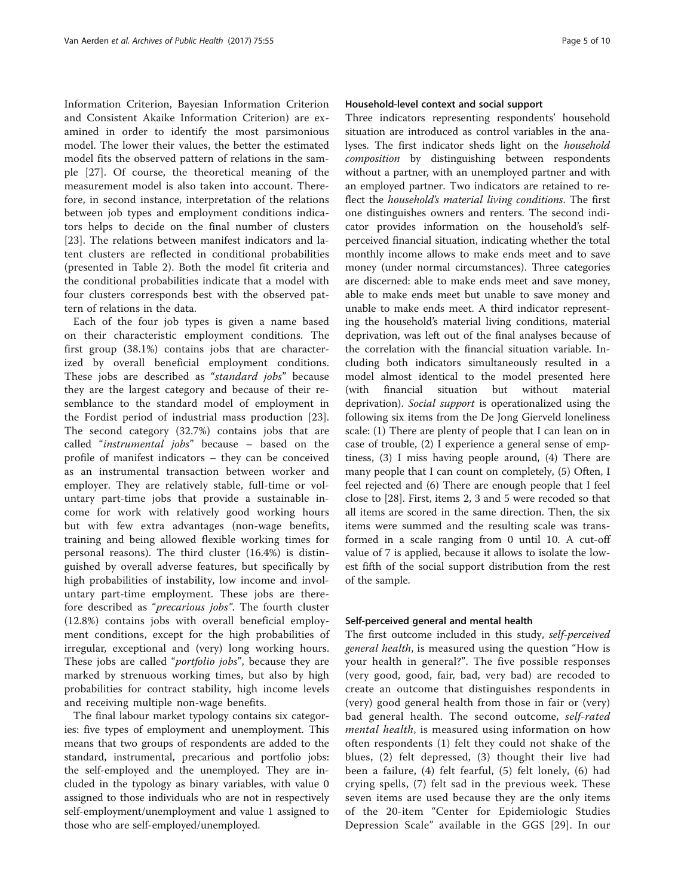Information Criterion, Bayesian Information Criterion and Consistent Akaike Information Criterion) are examined in order to identify the most parsimonious model. The lower their values, the better the estimated model fits the observed pattern of relations in the sample [\[27](#page-9-0)]. Of course, the theoretical meaning of the measurement model is also taken into account. Therefore, in second instance, interpretation of the relations between job types and employment conditions indicators helps to decide on the final number of clusters [[23\]](#page-8-0). The relations between manifest indicators and latent clusters are reflected in conditional probabilities (presented in Table [2](#page-3-0)). Both the model fit criteria and the conditional probabilities indicate that a model with four clusters corresponds best with the observed pattern of relations in the data.

Each of the four job types is given a name based on their characteristic employment conditions. The first group (38.1%) contains jobs that are characterized by overall beneficial employment conditions. These jobs are described as "standard jobs" because they are the largest category and because of their resemblance to the standard model of employment in the Fordist period of industrial mass production [\[23](#page-8-0)]. The second category (32.7%) contains jobs that are called "instrumental jobs" because – based on the profile of manifest indicators – they can be conceived as an instrumental transaction between worker and employer. They are relatively stable, full-time or voluntary part-time jobs that provide a sustainable income for work with relatively good working hours but with few extra advantages (non-wage benefits, training and being allowed flexible working times for personal reasons). The third cluster (16.4%) is distinguished by overall adverse features, but specifically by high probabilities of instability, low income and involuntary part-time employment. These jobs are therefore described as "precarious jobs". The fourth cluster (12.8%) contains jobs with overall beneficial employment conditions, except for the high probabilities of irregular, exceptional and (very) long working hours. These jobs are called "portfolio jobs", because they are marked by strenuous working times, but also by high probabilities for contract stability, high income levels and receiving multiple non-wage benefits.

The final labour market typology contains six categories: five types of employment and unemployment. This means that two groups of respondents are added to the standard, instrumental, precarious and portfolio jobs: the self-employed and the unemployed. They are included in the typology as binary variables, with value 0 assigned to those individuals who are not in respectively self-employment/unemployment and value 1 assigned to those who are self-employed/unemployed.

# Household-level context and social support

Three indicators representing respondents' household situation are introduced as control variables in the analyses. The first indicator sheds light on the household composition by distinguishing between respondents without a partner, with an unemployed partner and with an employed partner. Two indicators are retained to reflect the household's material living conditions. The first one distinguishes owners and renters. The second indicator provides information on the household's selfperceived financial situation, indicating whether the total monthly income allows to make ends meet and to save money (under normal circumstances). Three categories are discerned: able to make ends meet and save money, able to make ends meet but unable to save money and unable to make ends meet. A third indicator representing the household's material living conditions, material deprivation, was left out of the final analyses because of the correlation with the financial situation variable. Including both indicators simultaneously resulted in a model almost identical to the model presented here (with financial situation but without material deprivation). Social support is operationalized using the following six items from the De Jong Gierveld loneliness scale: (1) There are plenty of people that I can lean on in case of trouble, (2) I experience a general sense of emptiness, (3) I miss having people around, (4) There are many people that I can count on completely, (5) Often, I feel rejected and (6) There are enough people that I feel close to [\[28](#page-9-0)]. First, items 2, 3 and 5 were recoded so that all items are scored in the same direction. Then, the six items were summed and the resulting scale was transformed in a scale ranging from 0 until 10. A cut-off value of 7 is applied, because it allows to isolate the lowest fifth of the social support distribution from the rest of the sample.

#### Self-perceived general and mental health

The first outcome included in this study, self-perceived general health, is measured using the question "How is your health in general?". The five possible responses (very good, good, fair, bad, very bad) are recoded to create an outcome that distinguishes respondents in (very) good general health from those in fair or (very) bad general health. The second outcome, self-rated *mental health*, is measured using information on how often respondents (1) felt they could not shake of the blues, (2) felt depressed, (3) thought their live had been a failure, (4) felt fearful, (5) felt lonely, (6) had crying spells, (7) felt sad in the previous week. These seven items are used because they are the only items of the 20-item "Center for Epidemiologic Studies Depression Scale" available in the GGS [\[29](#page-9-0)]. In our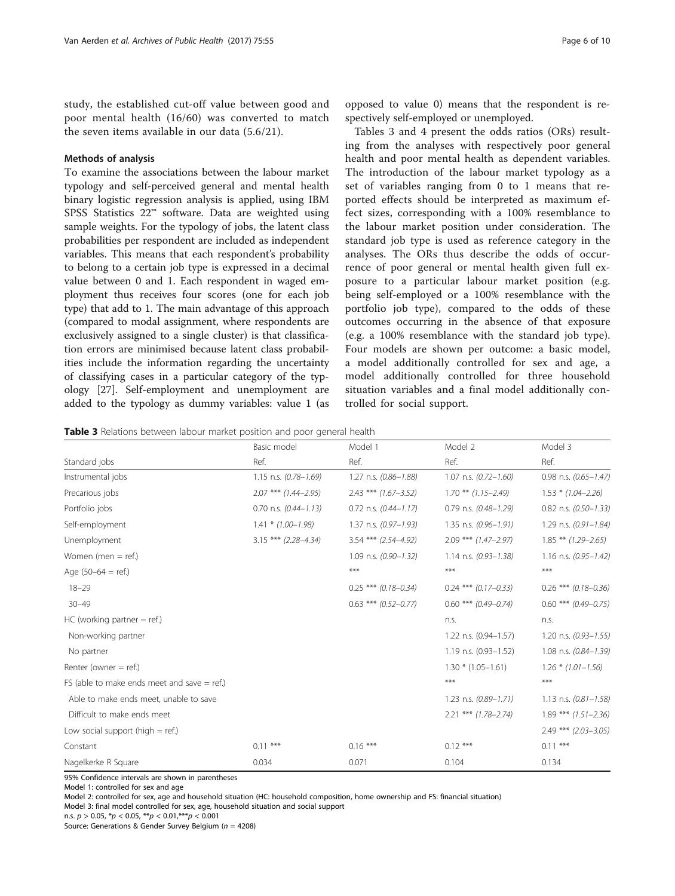<span id="page-5-0"></span>study, the established cut-off value between good and poor mental health (16/60) was converted to match the seven items available in our data (5.6/21).

# Methods of analysis

To examine the associations between the labour market typology and self-perceived general and mental health binary logistic regression analysis is applied, using IBM SPSS Statistics 22™ software. Data are weighted using sample weights. For the typology of jobs, the latent class probabilities per respondent are included as independent variables. This means that each respondent's probability to belong to a certain job type is expressed in a decimal value between 0 and 1. Each respondent in waged employment thus receives four scores (one for each job type) that add to 1. The main advantage of this approach (compared to modal assignment, where respondents are exclusively assigned to a single cluster) is that classification errors are minimised because latent class probabilities include the information regarding the uncertainty of classifying cases in a particular category of the typology [[27\]](#page-9-0). Self-employment and unemployment are added to the typology as dummy variables: value 1 (as

opposed to value 0) means that the respondent is respectively self-employed or unemployed.

Tables 3 and [4](#page-6-0) present the odds ratios (ORs) resulting from the analyses with respectively poor general health and poor mental health as dependent variables. The introduction of the labour market typology as a set of variables ranging from 0 to 1 means that reported effects should be interpreted as maximum effect sizes, corresponding with a 100% resemblance to the labour market position under consideration. The standard job type is used as reference category in the analyses. The ORs thus describe the odds of occurrence of poor general or mental health given full exposure to a particular labour market position (e.g. being self-employed or a 100% resemblance with the portfolio job type), compared to the odds of these outcomes occurring in the absence of that exposure (e.g. a 100% resemblance with the standard job type). Four models are shown per outcome: a basic model, a model additionally controlled for sex and age, a model additionally controlled for three household situation variables and a final model additionally controlled for social support.

Table 3 Relations between labour market position and poor general health

|                                               | Basic model                 | Model 1                     | Model 2                     | Model 3                     |
|-----------------------------------------------|-----------------------------|-----------------------------|-----------------------------|-----------------------------|
| Standard jobs                                 | Ref.                        | Ref.                        | Ref.                        | Ref.                        |
| Instrumental jobs                             | $1.15$ n.s. $(0.78 - 1.69)$ | 1.27 n.s. (0.86-1.88)       | $1.07$ n.s. $(0.72 - 1.60)$ | $0.98$ n.s. $(0.65 - 1.47)$ |
| Precarious jobs                               | $2.07$ *** $(1.44 - 2.95)$  | $2.43$ *** $(1.67 - 3.52)$  | $1.70$ ** $(1.15 - 2.49)$   | $1.53 * (1.04 - 2.26)$      |
| Portfolio jobs                                | $0.70$ n.s. $(0.44 - 1.13)$ | $0.72$ n.s. $(0.44 - 1.17)$ | $0.79$ n.s. $(0.48 - 1.29)$ | $0.82$ n.s. $(0.50 - 1.33)$ |
| Self-employment                               | $1.41 * (1.00 - 1.98)$      | 1.37 n.s. (0.97-1.93)       | 1.35 n.s. (0.96-1.91)       | 1.29 n.s. $(0.91 - 1.84)$   |
| Unemployment                                  | $3.15$ *** (2.28-4.34)      | $3.54$ *** (2.54-4.92)      | $2.09$ *** $(1.47 - 2.97)$  | $1.85$ ** $(1.29 - 2.65)$   |
| Women (men = ref.)                            |                             | 1.09 n.s. (0.90-1.32)       | 1.14 n.s. $(0.93 - 1.38)$   | 1.16 n.s. $(0.95 - 1.42)$   |
| Age $(50-64 = ref.)$                          |                             | $***$                       | ***                         | ***                         |
| $18 - 29$                                     |                             | $0.25$ *** $(0.18 - 0.34)$  | $0.24$ *** $(0.17 - 0.33)$  | $0.26$ *** $(0.18 - 0.36)$  |
| $30 - 49$                                     |                             | $0.63$ *** $(0.52 - 0.77)$  | $0.60$ *** $(0.49 - 0.74)$  | $0.60$ *** $(0.49 - 0.75)$  |
| $HC$ (working partner = ref.)                 |                             |                             | n.s.                        | n.s.                        |
| Non-working partner                           |                             |                             | 1.22 n.s. (0.94-1.57)       | 1.20 n.s. (0.93-1.55)       |
| No partner                                    |                             |                             | 1.19 n.s. (0.93-1.52)       | 1.08 n.s. (0.84-1.39)       |
| Renter (owner $=$ ref.)                       |                             |                             | $1.30 * (1.05 - 1.61)$      | $1.26 * (1.01 - 1.56)$      |
| FS (able to make ends meet and save $=$ ref.) |                             |                             | ***                         | $***$                       |
| Able to make ends meet, unable to save        |                             |                             | 1.23 n.s. (0.89-1.71)       | 1.13 n.s. $(0.81 - 1.58)$   |
| Difficult to make ends meet                   |                             |                             | $2.21$ *** (1.78-2.74)      | $1.89***$ (1.51-2.36)       |
| Low social support (high $=$ ref.)            |                             |                             |                             | $2.49$ *** $(2.03 - 3.05)$  |
| Constant                                      | $0.11***$                   | $0.16***$                   | $0.12***$                   | $0.11***$                   |
| Nagelkerke R Square                           | 0.034                       | 0.071                       | 0.104                       | 0.134                       |

95% Confidence intervals are shown in parentheses

Model 1: controlled for sex and age

Model 2: controlled for sex, age and household situation (HC: household composition, home ownership and FS: financial situation) Model 3: final model controlled for sex, age, household situation and social support

n.s.  $p > 0.05$ ,  $p < 0.05$ ,  $p < 0.01$ ,  $p > 0.001$ 

Source: Generations & Gender Survey Belgium ( $n = 4208$ )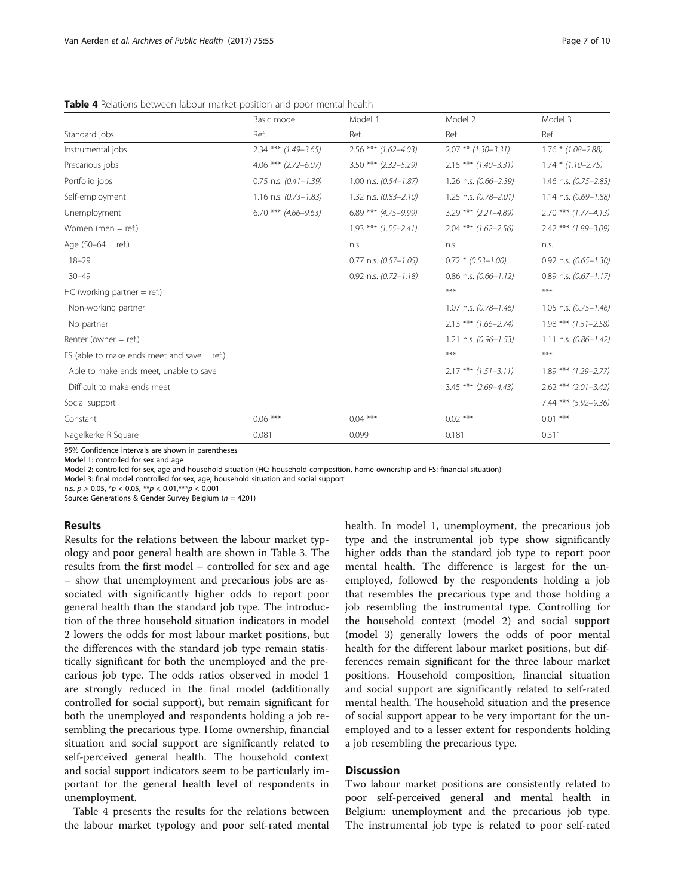<span id="page-6-0"></span>

|                                               | Basic model                 | Model 1                     | Model 2                     | Model 3                     |
|-----------------------------------------------|-----------------------------|-----------------------------|-----------------------------|-----------------------------|
| Standard jobs                                 | Ref.                        | Ref.                        | Ref.                        | Ref.                        |
| Instrumental jobs                             | $2.34$ *** $(1.49 - 3.65)$  | $2.56$ *** $(1.62 - 4.03)$  | $2.07$ ** $(1.30 - 3.31)$   | $1.76 * (1.08 - 2.88)$      |
| Precarious jobs                               | $4.06$ *** $(2.72 - 6.07)$  | $3.50$ *** (2.32-5.29)      | $2.15$ *** $(1.40 - 3.31)$  | $1.74 * (1.10 - 2.75)$      |
| Portfolio jobs                                | $0.75$ n.s. $(0.41 - 1.39)$ | 1.00 n.s. (0.54-1.87)       | 1.26 n.s. (0.66-2.39)       | 1.46 n.s. (0.75-2.83)       |
| Self-employment                               | 1.16 n.s. $(0.73 - 1.83)$   | 1.32 n.s. (0.83-2.10)       | 1.25 n.s. (0.78-2.01)       | 1.14 n.s. (0.69-1.88)       |
| Unemployment                                  | $6.70$ *** $(4.66 - 9.63)$  | $6.89$ *** $(4.75 - 9.99)$  | $3.29$ *** (2.21-4.89)      | $2.70$ *** $(1.77-4.13)$    |
| Women (men = ref.)                            |                             | $1.93$ *** $(1.55 - 2.41)$  | $2.04$ *** $(1.62 - 2.56)$  | $2.42$ *** $(1.89 - 3.09)$  |
| Age $(50-64 = ref.)$                          |                             | n.s.                        | n.s.                        | n.s.                        |
| $18 - 29$                                     |                             | $0.77$ n.s. $(0.57 - 1.05)$ | $0.72 * (0.53 - 1.00)$      | $0.92$ n.s. $(0.65 - 1.30)$ |
| $30 - 49$                                     |                             | $0.92$ n.s. $(0.72 - 1.18)$ | $0.86$ n.s. $(0.66 - 1.12)$ | $0.89$ n.s. $(0.67 - 1.17)$ |
| $HC$ (working partner = ref.)                 |                             |                             | ***                         | ***                         |
| Non-working partner                           |                             |                             | 1.07 n.s. (0.78-1.46)       | $1.05$ n.s. $(0.75 - 1.46)$ |
| No partner                                    |                             |                             | $2.13$ *** $(1.66 - 2.74)$  | $1.98$ *** $(1.51 - 2.58)$  |
| Renter (owner $=$ ref.)                       |                             |                             | 1.21 n.s. $(0.96 - 1.53)$   | 1.11 n.s. $(0.86 - 1.42)$   |
| FS (able to make ends meet and save $=$ ref.) |                             |                             | ***                         | ***                         |
| Able to make ends meet, unable to save        |                             |                             | $2.17***$ (1.51-3.11)       | $1.89$ *** $(1.29 - 2.77)$  |
| Difficult to make ends meet                   |                             |                             | $3.45$ *** (2.69-4.43)      | $2.62$ *** $(2.01 - 3.42)$  |
| Social support                                |                             |                             |                             | 7.44 *** (5.92-9.36)        |
| Constant                                      | $0.06$ ***                  | $0.04***$                   | $0.02$ ***                  | $0.01***$                   |
| Nagelkerke R Square                           | 0.081                       | 0.099                       | 0.181                       | 0.311                       |

95% Confidence intervals are shown in parentheses

Model 1: controlled for sex and age

Model 2: controlled for sex, age and household situation (HC: household composition, home ownership and FS: financial situation)

Model 3: final model controlled for sex, age, household situation and social support

n.s.  $p > 0.05$ ,  $p < 0.05$ ,  $p < 0.01$ ,  $p > 0.001$ 

Source: Generations & Gender Survey Belgium ( $n = 4201$ )

# Results

Results for the relations between the labour market typology and poor general health are shown in Table [3](#page-5-0). The results from the first model – controlled for sex and age – show that unemployment and precarious jobs are associated with significantly higher odds to report poor general health than the standard job type. The introduction of the three household situation indicators in model 2 lowers the odds for most labour market positions, but the differences with the standard job type remain statistically significant for both the unemployed and the precarious job type. The odds ratios observed in model 1 are strongly reduced in the final model (additionally controlled for social support), but remain significant for both the unemployed and respondents holding a job resembling the precarious type. Home ownership, financial situation and social support are significantly related to self-perceived general health. The household context and social support indicators seem to be particularly important for the general health level of respondents in unemployment.

Table 4 presents the results for the relations between the labour market typology and poor self-rated mental health. In model 1, unemployment, the precarious job type and the instrumental job type show significantly higher odds than the standard job type to report poor mental health. The difference is largest for the unemployed, followed by the respondents holding a job that resembles the precarious type and those holding a job resembling the instrumental type. Controlling for the household context (model 2) and social support (model 3) generally lowers the odds of poor mental health for the different labour market positions, but differences remain significant for the three labour market positions. Household composition, financial situation and social support are significantly related to self-rated mental health. The household situation and the presence of social support appear to be very important for the unemployed and to a lesser extent for respondents holding a job resembling the precarious type.

# **Discussion**

Two labour market positions are consistently related to poor self-perceived general and mental health in Belgium: unemployment and the precarious job type. The instrumental job type is related to poor self-rated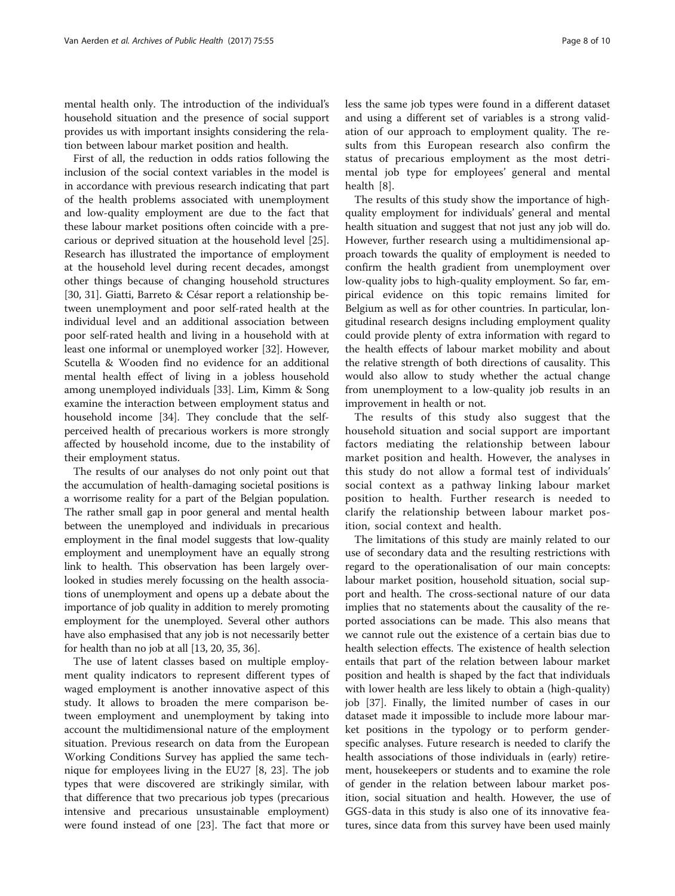mental health only. The introduction of the individual's household situation and the presence of social support provides us with important insights considering the relation between labour market position and health.

First of all, the reduction in odds ratios following the inclusion of the social context variables in the model is in accordance with previous research indicating that part of the health problems associated with unemployment and low-quality employment are due to the fact that these labour market positions often coincide with a precarious or deprived situation at the household level [\[25](#page-9-0)]. Research has illustrated the importance of employment at the household level during recent decades, amongst other things because of changing household structures [[30, 31\]](#page-9-0). Giatti, Barreto & César report a relationship between unemployment and poor self-rated health at the individual level and an additional association between poor self-rated health and living in a household with at least one informal or unemployed worker [\[32](#page-9-0)]. However, Scutella & Wooden find no evidence for an additional mental health effect of living in a jobless household among unemployed individuals [\[33](#page-9-0)]. Lim, Kimm & Song examine the interaction between employment status and household income [\[34](#page-9-0)]. They conclude that the selfperceived health of precarious workers is more strongly affected by household income, due to the instability of their employment status.

The results of our analyses do not only point out that the accumulation of health-damaging societal positions is a worrisome reality for a part of the Belgian population. The rather small gap in poor general and mental health between the unemployed and individuals in precarious employment in the final model suggests that low-quality employment and unemployment have an equally strong link to health. This observation has been largely overlooked in studies merely focussing on the health associations of unemployment and opens up a debate about the importance of job quality in addition to merely promoting employment for the unemployed. Several other authors have also emphasised that any job is not necessarily better for health than no job at all [[13](#page-8-0), [20,](#page-8-0) [35, 36](#page-9-0)].

The use of latent classes based on multiple employment quality indicators to represent different types of waged employment is another innovative aspect of this study. It allows to broaden the mere comparison between employment and unemployment by taking into account the multidimensional nature of the employment situation. Previous research on data from the European Working Conditions Survey has applied the same technique for employees living in the EU27 [\[8](#page-8-0), [23\]](#page-8-0). The job types that were discovered are strikingly similar, with that difference that two precarious job types (precarious intensive and precarious unsustainable employment) were found instead of one [[23](#page-8-0)]. The fact that more or less the same job types were found in a different dataset and using a different set of variables is a strong validation of our approach to employment quality. The results from this European research also confirm the status of precarious employment as the most detrimental job type for employees' general and mental health [[8\]](#page-8-0).

The results of this study show the importance of highquality employment for individuals' general and mental health situation and suggest that not just any job will do. However, further research using a multidimensional approach towards the quality of employment is needed to confirm the health gradient from unemployment over low-quality jobs to high-quality employment. So far, empirical evidence on this topic remains limited for Belgium as well as for other countries. In particular, longitudinal research designs including employment quality could provide plenty of extra information with regard to the health effects of labour market mobility and about the relative strength of both directions of causality. This would also allow to study whether the actual change from unemployment to a low-quality job results in an improvement in health or not.

The results of this study also suggest that the household situation and social support are important factors mediating the relationship between labour market position and health. However, the analyses in this study do not allow a formal test of individuals' social context as a pathway linking labour market position to health. Further research is needed to clarify the relationship between labour market position, social context and health.

The limitations of this study are mainly related to our use of secondary data and the resulting restrictions with regard to the operationalisation of our main concepts: labour market position, household situation, social support and health. The cross-sectional nature of our data implies that no statements about the causality of the reported associations can be made. This also means that we cannot rule out the existence of a certain bias due to health selection effects. The existence of health selection entails that part of the relation between labour market position and health is shaped by the fact that individuals with lower health are less likely to obtain a (high-quality) job [\[37\]](#page-9-0). Finally, the limited number of cases in our dataset made it impossible to include more labour market positions in the typology or to perform genderspecific analyses. Future research is needed to clarify the health associations of those individuals in (early) retirement, housekeepers or students and to examine the role of gender in the relation between labour market position, social situation and health. However, the use of GGS-data in this study is also one of its innovative features, since data from this survey have been used mainly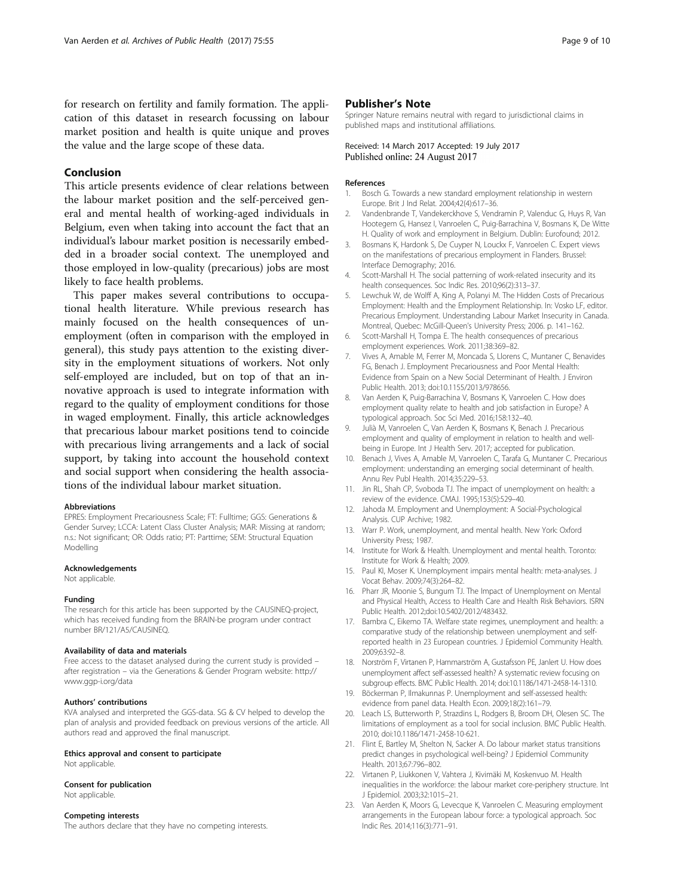<span id="page-8-0"></span>for research on fertility and family formation. The application of this dataset in research focussing on labour market position and health is quite unique and proves the value and the large scope of these data.

# Conclusion

This article presents evidence of clear relations between the labour market position and the self-perceived general and mental health of working-aged individuals in Belgium, even when taking into account the fact that an individual's labour market position is necessarily embedded in a broader social context. The unemployed and those employed in low-quality (precarious) jobs are most likely to face health problems.

This paper makes several contributions to occupational health literature. While previous research has mainly focused on the health consequences of unemployment (often in comparison with the employed in general), this study pays attention to the existing diversity in the employment situations of workers. Not only self-employed are included, but on top of that an innovative approach is used to integrate information with regard to the quality of employment conditions for those in waged employment. Finally, this article acknowledges that precarious labour market positions tend to coincide with precarious living arrangements and a lack of social support, by taking into account the household context and social support when considering the health associations of the individual labour market situation.

#### Abbreviations

EPRES: Employment Precariousness Scale; FT: Fulltime; GGS: Generations & Gender Survey; LCCA: Latent Class Cluster Analysis; MAR: Missing at random; n.s.: Not significant; OR: Odds ratio; PT: Parttime; SEM: Structural Equation Modelling

#### Acknowledgements

Not applicable.

#### Funding

The research for this article has been supported by the CAUSINEQ-project, which has received funding from the BRAIN-be program under contract number BR/121/A5/CAUSINEQ.

#### Availability of data and materials

Free access to the dataset analysed during the current study is provided – after registration – via the Generations & Gender Program website: [http://](http://www.ggp-i.org/data) [www.ggp-i.org/data](http://www.ggp-i.org/data)

#### Authors' contributions

KVA analysed and interpreted the GGS-data. SG & CV helped to develop the plan of analysis and provided feedback on previous versions of the article. All authors read and approved the final manuscript.

#### Ethics approval and consent to participate

Not applicable

#### Consent for publication

Not applicable.

#### Competing interests

The authors declare that they have no competing interests.

#### Publisher's Note

Springer Nature remains neutral with regard to jurisdictional claims in published maps and institutional affiliations.

Received: 14 March 2017 Accepted: 19 July 2017 Published online: 24 August 2017

#### References

- Bosch G. Towards a new standard employment relationship in western Europe. Brit J Ind Relat. 2004;42(4):617–36.
- 2. Vandenbrande T, Vandekerckhove S, Vendramin P, Valenduc G, Huys R, Van Hootegem G, Hansez I, Vanroelen C, Puig-Barrachina V, Bosmans K, De Witte H. Quality of work and employment in Belgium. Dublin: Eurofound; 2012.
- 3. Bosmans K, Hardonk S, De Cuyper N, Louckx F, Vanroelen C. Expert views on the manifestations of precarious employment in Flanders. Brussel: Interface Demography; 2016.
- 4. Scott-Marshall H. The social patterning of work-related insecurity and its health consequences. Soc Indic Res. 2010;96(2):313–37.
- 5. Lewchuk W, de Wolff A, King A, Polanyi M. The Hidden Costs of Precarious Employment: Health and the Employment Relationship. In: Vosko LF, editor. Precarious Employment. Understanding Labour Market Insecurity in Canada. Montreal, Quebec: McGill-Queen's University Press; 2006. p. 141–162.
- 6. Scott-Marshall H, Tompa E. The health consequences of precarious employment experiences. Work. 2011;38:369–82.
- 7. Vives A, Amable M, Ferrer M, Moncada S, Llorens C, Muntaner C, Benavides FG, Benach J. Employment Precariousness and Poor Mental Health: Evidence from Spain on a New Social Determinant of Health. J Environ Public Health. 2013; doi[:10.1155/2013/978656.](http://dx.doi.org/10.1155/2013/978656)
- 8. Van Aerden K, Puig-Barrachina V, Bosmans K, Vanroelen C. How does employment quality relate to health and job satisfaction in Europe? A typological approach. Soc Sci Med. 2016;158:132–40.
- 9. Julià M, Vanroelen C, Van Aerden K, Bosmans K, Benach J. Precarious employment and quality of employment in relation to health and wellbeing in Europe. Int J Health Serv. 2017; accepted for publication.
- 10. Benach J, Vives A, Amable M, Vanroelen C, Tarafa G, Muntaner C. Precarious employment: understanding an emerging social determinant of health. Annu Rev Publ Health. 2014;35:229–53.
- 11. Jin RL, Shah CP, Svoboda TJ. The impact of unemployment on health: a review of the evidence. CMAJ. 1995;153(5):529–40.
- 12. Jahoda M. Employment and Unemployment: A Social-Psychological Analysis. CUP Archive; 1982.
- 13. Warr P. Work, unemployment, and mental health. New York: Oxford University Press; 1987.
- 14. Institute for Work & Health. Unemployment and mental health. Toronto: Institute for Work & Health; 2009.
- 15. Paul KI, Moser K. Unemployment impairs mental health: meta-analyses. J Vocat Behav. 2009;74(3):264–82.
- 16. Pharr JR, Moonie S, Bungum TJ. The Impact of Unemployment on Mental and Physical Health, Access to Health Care and Health Risk Behaviors. ISRN Public Health. 2012;doi:[10.5402/2012/483432.](http://dx.doi.org/10.5402/2012/483432)
- 17. Bambra C, Eikemo TA. Welfare state regimes, unemployment and health: a comparative study of the relationship between unemployment and selfreported health in 23 European countries. J Epidemiol Community Health. 2009;63:92–8.
- 18. Norström F, Virtanen P, Hammarström A, Gustafsson PE, Janlert U. How does unemployment affect self-assessed health? A systematic review focusing on subgroup effects. BMC Public Health. 2014; doi:[10.1186/1471-2458-14-1310.](http://dx.doi.org/10.1186/1471-2458-14-1310)
- 19. Böckerman P, Ilmakunnas P. Unemployment and self-assessed health: evidence from panel data. Health Econ. 2009;18(2):161–79.
- 20. Leach LS, Butterworth P, Strazdins L, Rodgers B, Broom DH, Olesen SC. The limitations of employment as a tool for social inclusion. BMC Public Health. 2010; doi[:10.1186/1471-2458-10-621.](http://dx.doi.org/10.1186/1471-2458-10-621)
- 21. Flint E, Bartley M, Shelton N, Sacker A. Do labour market status transitions predict changes in psychological well-being? J Epidemiol Community Health. 2013;67:796–802.
- 22. Virtanen P, Liukkonen V, Vahtera J, Kivimäki M, Koskenvuo M. Health inequalities in the workforce: the labour market core-periphery structure. Int J Epidemiol. 2003;32:1015–21.
- 23. Van Aerden K, Moors G, Levecque K, Vanroelen C. Measuring employment arrangements in the European labour force: a typological approach. Soc Indic Res. 2014;116(3):771–91.